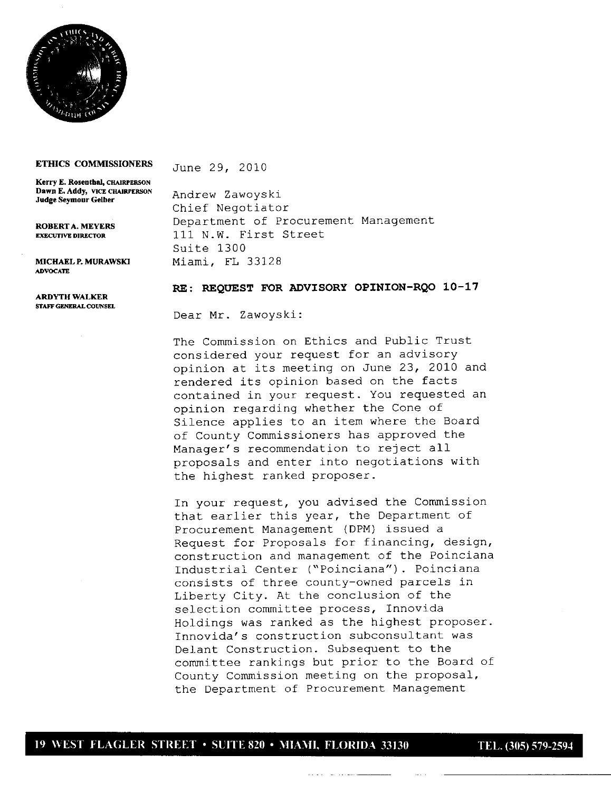

## **ETHICS COMMISSIONERS** June 29, 2Q10

**Kerry E. Rosenthal,** CHAiRPERSON Dawn E. Addy, VICE CHAIRPERSON Judge Seymour Gelber

**ADVOCATE** 

ARDYTII **WALKER** STAFF GENERAL COUNSEL

Andrew Zawoys ki **Chief Negotiator ROBERTA. MEYERS** Department of Procurement Management EXECUTIVE DIRECTOR 111 N.W. First Street Suite 1300 MICHAELP.MURAWSKI Miami, FL 33128

## **RE: REQUEST** FOR **ADVISORY OPINION-RQO 10-17**

**Dear Mr. Zawoyski:**

The Commission on Ethics and Public Trust considered your request for an advisory opinion at its meeting on June 23, 2010 and rendered its opinion based on the facts contained in your request. You requested an opinion regarding whether the Cone of Silence applies to an item where the Board of County Commissioners has approved the Manager's recommendation to reject all proposals and enter into negotiations with the highest ranked proposer.

In your request, you advised the Commission that earlier this year, the Department of Procurement Management (DPM) issued a Request for Proposals for financing, design, construction and management of the Poinciana Industrial Center ("Poinciana"). Poinciana consists of three county-owned parcels in Liberty City. At the conclusion of the selection committee process, Innovida Holdings was ranked as the highest proposer. Innovida's construction subconsultant was Delant Construction. Subsequent to the committee rankings but prior to the Board of County Commission meeting on the proposal, the Department of Procurement Management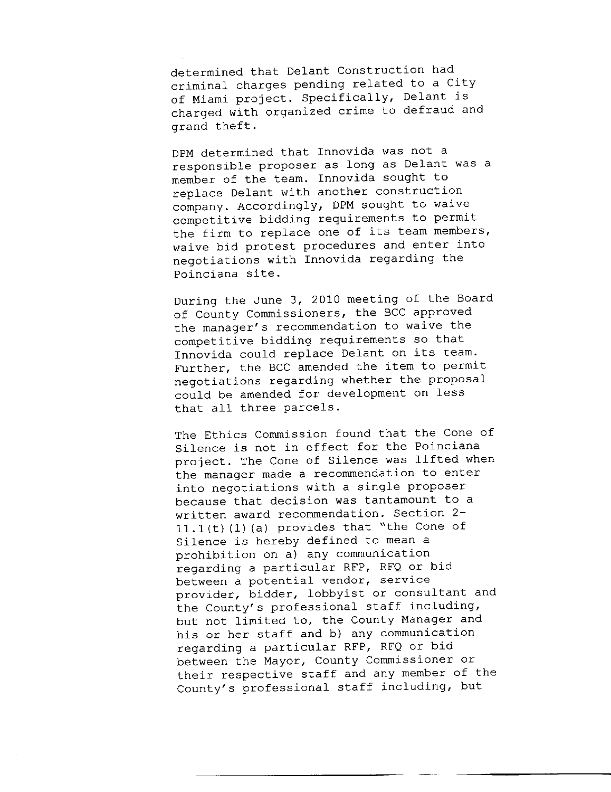determined that Delant Construction had criminal charges pending related to a City of Miami project. Specifically, Delant is charged with organized crime to defraud and grand theft.

DPM determined that Innovida was not a responsible proposer as long as Delant was a member of the team. Innovida sought to replace Delant with another construction company. Accordingly, DPM sought to waive competitive bidding requirements to permit the firm to replace one of its team members, waive bid protest procedures and enter into negotiations with Innovida regarding the Poinciana site.

During the June 3, 2010 meeting of the Board of County Commissioners, the BCC approved the manager's recommendation to waive the competitive bidding requirements so that Innovida could replace Delant on its team. Further, the BCC amended the item to permit negotiations regarding whether the proposal could be amended for development on less that all three parcels.

The Ethics Commission found that the Cone of Silence is not in effect for the Poinciana project. The Cone of Silence was lifted when the manager made a recommendation to enter into negotiations with a single proposer because that decision was tantamount to a written award recommendation. Section 2-  $11.1(t)$  (1) (a) provides that "the Cone of Silence is hereby defined to mean a prohibition on a) any communication regarding a particular RFP, RFQ or bid between a potential vendor, service provider, bidder, lobbyist or consultant and the County's professional staff including, but not limited to, the County Manager and his or her staff and b) any communication regarding a particular RFP, RFQ or bid between the Mayor, County Commissioner or their respective staff and any member of the County's professional staff including, but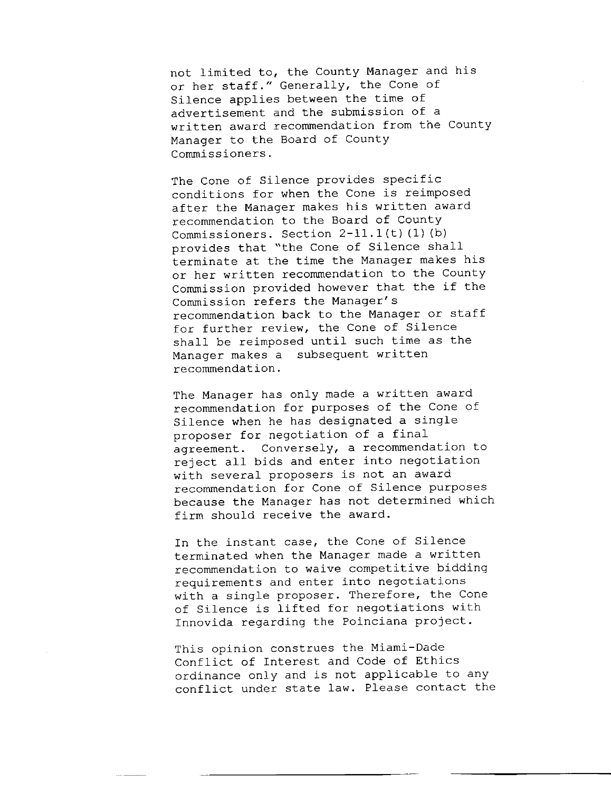not limited to, the County Manager and his or her staff." Generally, the Cone of Silence applies between the time of advertisement and the submission of a written award recommendation from the County Manager to the Board of County Commissioners.

The Cone of Silence provides specific conditions for when the Cone is reimposed after the Manager makes his written award recommendation to the Board of County Commissioners. Section  $2-11.1(t)$  (1) (b) provides that "the Cone of Silence shall terminate at the time the Manager makes his or her written recommendation to the County Commission provided however that the if the Commission refers the Manager's recommendation back to the Manager or staff for further review, the Cone of Silence shall be reimposed until such time as the Manager makes a subsequent written recommendation.

The Manager has only made a written award recommendation for purposes of the Cone of Silence when he has designated a single proposer for negotiation of a final agreement. Conversely, a recommendation to reject all bids and enter into negotiation with several proposers is not an award recommendation for Cone of Silence purposes because the Manager has not determined which firm should receive the award.

In the instant case, the Cone of Silence terminated when the Manager made a written recommendation to waive competitive bidding requirements and enter into negotiations with a single proposer. Therefore, the Cone of Silence is lifted for negotiations with Innovida regarding the Poinciana project.

This opinion construes the Miami-Dade Conflict of Interest and Code of Ethics ordinance only and is not applicable to any conflict under state law. Please contact the